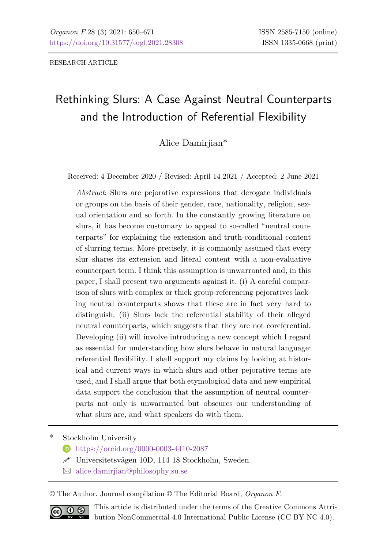RESEARCH ARTICLE

# Rethinking Slurs: A Case Against Neutral Counterparts and the Introduction of Referential Flexibility

Alice Damirjian\*

Received: 4 December 2020 / Revised: April 14 2021 / Accepted: 2 June 2021

*Abstract*: Slurs are pejorative expressions that derogate individuals or groups on the basis of their gender, race, nationality, religion, sexual orientation and so forth. In the constantly growing literature on slurs, it has become customary to appeal to so-called "neutral counterparts" for explaining the extension and truth-conditional content of slurring terms. More precisely, it is commonly assumed that every slur shares its extension and literal content with a non-evaluative counterpart term. I think this assumption is unwarranted and, in this paper, I shall present two arguments against it. (i) A careful comparison of slurs with complex or thick group-referencing pejoratives lacking neutral counterparts shows that these are in fact very hard to distinguish. (ii) Slurs lack the referential stability of their alleged neutral counterparts, which suggests that they are not coreferential. Developing (ii) will involve introducing a new concept which I regard as essential for understanding how slurs behave in natural language: referential flexibility. I shall support my claims by looking at historical and current ways in which slurs and other pejorative terms are used, and I shall argue that both etymological data and new empirical data support the conclusion that the assumption of neutral counterparts not only is unwarranted but obscures our understanding of what slurs are, and what speakers do with them.

Stockholm University

- <https://orcid.org/0000-0003-4410-2087>
- Universitetsvägen 10D, 114 18 Stockholm, Sweden.
- $\boxtimes$  [alice.damirjian@philosophy.su.se](mailto:alice.damirjian@philosophy.su.se)

© The Author. Journal compilation © The Editorial Board, *Organon F*.



This article is distributed under the terms of the Creative Commons Attribution-NonCommercial 4.0 International Public License (CC BY-NC 4.0).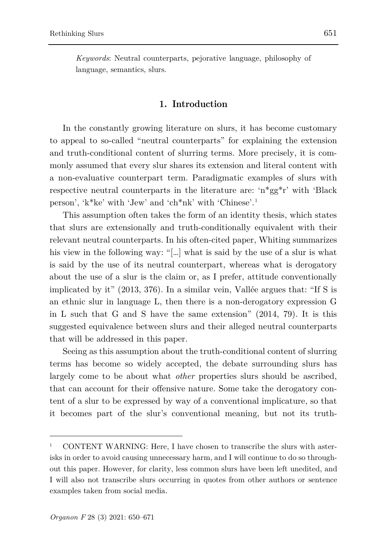*Keywords*: Neutral counterparts, pejorative language, philosophy of language, semantics, slurs.

### **1. Introduction**

In the constantly growing literature on slurs, it has become customary to appeal to so-called "neutral counterparts" for explaining the extension and truth-conditional content of slurring terms. More precisely, it is commonly assumed that every slur shares its extension and literal content with a non-evaluative counterpart term. Paradigmatic examples of slurs with respective neutral counterparts in the literature are: 'n\*gg\*r' with 'Black person', 'k\*ke' with 'Jew' and 'ch\*nk' with 'Chinese'. [1](#page-1-0)

This assumption often takes the form of an identity thesis, which states that slurs are extensionally and truth-conditionally equivalent with their relevant neutral counterparts. In his often-cited paper, Whiting summarizes his view in the following way: "[...] what is said by the use of a slur is what is said by the use of its neutral counterpart, whereas what is derogatory about the use of a slur is the claim or, as I prefer, attitude conventionally implicated by it" (2013, 376). In a similar vein, Vallée argues that: "If S is an ethnic slur in language L, then there is a non-derogatory expression G in L such that G and S have the same extension" (2014, 79). It is this suggested equivalence between slurs and their alleged neutral counterparts that will be addressed in this paper.

Seeing as this assumption about the truth-conditional content of slurring terms has become so widely accepted, the debate surrounding slurs has largely come to be about what *other* properties slurs should be ascribed, that can account for their offensive nature. Some take the derogatory content of a slur to be expressed by way of a conventional implicature, so that it becomes part of the slur's conventional meaning, but not its truth-

<span id="page-1-0"></span><sup>1</sup> CONTENT WARNING: Here, I have chosen to transcribe the slurs with asterisks in order to avoid causing unnecessary harm, and I will continue to do so throughout this paper. However, for clarity, less common slurs have been left unedited, and I will also not transcribe slurs occurring in quotes from other authors or sentence examples taken from social media.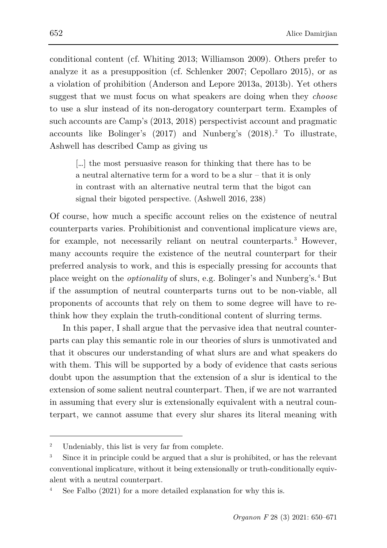conditional content (cf. Whiting 2013; Williamson 2009). Others prefer to analyze it as a presupposition (cf. Schlenker 2007; Cepollaro 2015), or as a violation of prohibition (Anderson and Lepore 2013a, 2013b). Yet others suggest that we must focus on what speakers are doing when they *choose* to use a slur instead of its non-derogatory counterpart term. Examples of such accounts are Camp's (2013, 2018) perspectivist account and pragmatic accounts like Bolinger's ([2](#page-2-0)017) and Nunberg's (2018).<sup>2</sup> To illustrate, Ashwell has described Camp as giving us

[…] the most persuasive reason for thinking that there has to be a neutral alternative term for a word to be a slur – that it is only in contrast with an alternative neutral term that the bigot can signal their bigoted perspective. (Ashwell 2016, 238)

Of course, how much a specific account relies on the existence of neutral counterparts varies. Prohibitionist and conventional implicature views are, for example, not necessarily reliant on neutral counterparts.<sup>[3](#page-2-1)</sup> However, many accounts require the existence of the neutral counterpart for their preferred analysis to work, and this is especially pressing for accounts that place weight on the *optionality* of slurs, e.g. Bolinger's and Nunberg's.[4](#page-2-2) But if the assumption of neutral counterparts turns out to be non-viable, all proponents of accounts that rely on them to some degree will have to rethink how they explain the truth-conditional content of slurring terms.

In this paper, I shall argue that the pervasive idea that neutral counterparts can play this semantic role in our theories of slurs is unmotivated and that it obscures our understanding of what slurs are and what speakers do with them. This will be supported by a body of evidence that casts serious doubt upon the assumption that the extension of a slur is identical to the extension of some salient neutral counterpart. Then, if we are not warranted in assuming that every slur is extensionally equivalent with a neutral counterpart, we cannot assume that every slur shares its literal meaning with

<span id="page-2-0"></span><sup>&</sup>lt;sup>2</sup> Undeniably, this list is very far from complete.

<span id="page-2-1"></span><sup>3</sup> Since it in principle could be argued that a slur is prohibited, or has the relevant conventional implicature, without it being extensionally or truth-conditionally equivalent with a neutral counterpart.

<span id="page-2-2"></span>See Falbo (2021) for a more detailed explanation for why this is.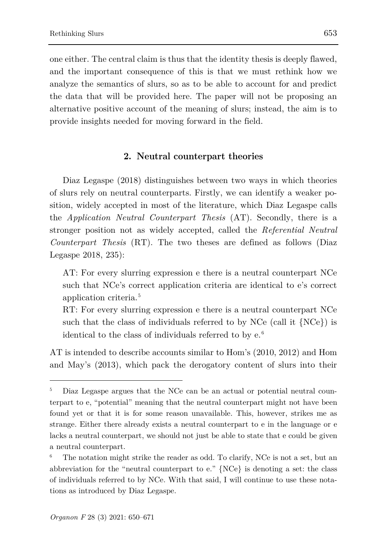one either. The central claim is thus that the identity thesis is deeply flawed, and the important consequence of this is that we must rethink how we analyze the semantics of slurs, so as to be able to account for and predict the data that will be provided here. The paper will not be proposing an alternative positive account of the meaning of slurs; instead, the aim is to provide insights needed for moving forward in the field.

#### **2. Neutral counterpart theories**

Diaz Legaspe (2018) distinguishes between two ways in which theories of slurs rely on neutral counterparts. Firstly, we can identify a weaker position, widely accepted in most of the literature, which Diaz Legaspe calls the *Application Neutral Counterpart Thesis* (AT). Secondly, there is a stronger position not as widely accepted, called the *Referential Neutral Counterpart Thesis* (RT). The two theses are defined as follows (Diaz Legaspe 2018, 235):

AT: For every slurring expression e there is a neutral counterpart NCe such that NCe's correct application criteria are identical to e's correct application criteria.[5](#page-3-0)

RT: For every slurring expression e there is a neutral counterpart NCe such that the class of individuals referred to by NCe (call it  ${NCe}$ ) is identical to the class of individuals referred to by e. [6](#page-3-1)

AT is intended to describe accounts similar to Hom's (2010, 2012) and Hom and May's (2013), which pack the derogatory content of slurs into their

<span id="page-3-0"></span><sup>5</sup> Diaz Legaspe argues that the NCe can be an actual or potential neutral counterpart to e, "potential" meaning that the neutral counterpart might not have been found yet or that it is for some reason unavailable. This, however, strikes me as strange. Either there already exists a neutral counterpart to e in the language or e lacks a neutral counterpart, we should not just be able to state that e could be given a neutral counterpart.

<span id="page-3-1"></span>The notation might strike the reader as odd. To clarify, NCe is not a set, but an abbreviation for the "neutral counterpart to e." {NCe} is denoting a set: the class of individuals referred to by NCe. With that said, I will continue to use these notations as introduced by Diaz Legaspe.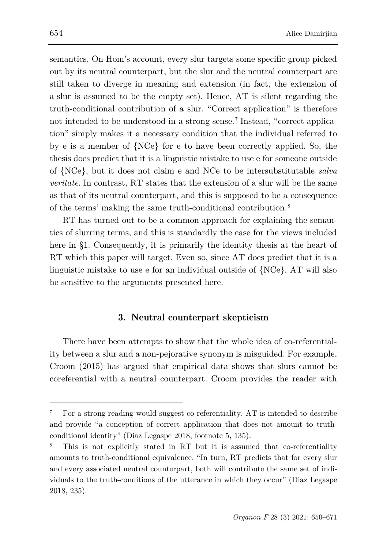semantics. On Hom's account, every slur targets some specific group picked out by its neutral counterpart, but the slur and the neutral counterpart are still taken to diverge in meaning and extension (in fact, the extension of a slur is assumed to be the empty set). Hence, AT is silent regarding the truth-conditional contribution of a slur. "Correct application" is therefore not intended to be understood in a strong sense.<sup>[7](#page-4-0)</sup> Instead, "correct application" simply makes it a necessary condition that the individual referred to by e is a member of {NCe} for e to have been correctly applied. So, the thesis does predict that it is a linguistic mistake to use e for someone outside of {NCe}, but it does not claim e and NCe to be intersubstitutable *salva veritate*. In contrast, RT states that the extension of a slur will be the same as that of its neutral counterpart, and this is supposed to be a consequence of the terms' making the same truth-conditional contribution.[8](#page-4-1)

RT has turned out to be a common approach for explaining the semantics of slurring terms, and this is standardly the case for the views included here in §1. Consequently, it is primarily the identity thesis at the heart of RT which this paper will target. Even so, since AT does predict that it is a linguistic mistake to use e for an individual outside of {NCe}, AT will also be sensitive to the arguments presented here.

### **3. Neutral counterpart skepticism**

There have been attempts to show that the whole idea of co-referentiality between a slur and a non-pejorative synonym is misguided. For example, Croom (2015) has argued that empirical data shows that slurs cannot be coreferential with a neutral counterpart. Croom provides the reader with

<span id="page-4-0"></span><sup>7</sup> For a strong reading would suggest co-referentiality. AT is intended to describe and provide "a conception of correct application that does not amount to truthconditional identity" (Diaz Legaspe 2018, footnote 5, 135).

<span id="page-4-1"></span>This is not explicitly stated in RT but it is assumed that co-referentiality amounts to truth-conditional equivalence. "In turn, RT predicts that for every slur and every associated neutral counterpart, both will contribute the same set of individuals to the truth-conditions of the utterance in which they occur" (Diaz Legaspe 2018, 235).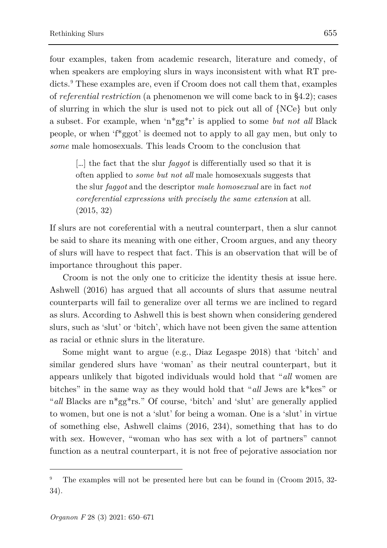four examples, taken from academic research, literature and comedy, of when speakers are employing slurs in ways inconsistent with what RT predicts.[9](#page-5-0) These examples are, even if Croom does not call them that, examples of *referential restriction* (a phenomenon we will come back to in §4.2); cases of slurring in which the slur is used not to pick out all of {NCe} but only a subset. For example, when 'n\*gg\*r' is applied to some *but not all* Black people, or when 'f\*ggot' is deemed not to apply to all gay men, but only to *some* male homosexuals. This leads Croom to the conclusion that

[…] the fact that the slur *faggot* is differentially used so that it is often applied to *some but not all* male homosexuals suggests that the slur *faggot* and the descriptor *male homosexual* are in fact *not coreferential expressions with precisely the same extension* at all. (2015, 32)

If slurs are not coreferential with a neutral counterpart, then a slur cannot be said to share its meaning with one either, Croom argues, and any theory of slurs will have to respect that fact. This is an observation that will be of importance throughout this paper.

Croom is not the only one to criticize the identity thesis at issue here. Ashwell (2016) has argued that all accounts of slurs that assume neutral counterparts will fail to generalize over all terms we are inclined to regard as slurs. According to Ashwell this is best shown when considering gendered slurs, such as 'slut' or 'bitch', which have not been given the same attention as racial or ethnic slurs in the literature.

Some might want to argue (e.g., Diaz Legaspe 2018) that 'bitch' and similar gendered slurs have 'woman' as their neutral counterpart, but it appears unlikely that bigoted individuals would hold that "*all* women are bitches" in the same way as they would hold that "*all* Jews are k\*kes" or "*all* Blacks are n\*gg\*rs." Of course, 'bitch' and 'slut' are generally applied to women, but one is not a 'slut' for being a woman. One is a 'slut' in virtue of something else, Ashwell claims (2016, 234), something that has to do with sex. However, "woman who has sex with a lot of partners" cannot function as a neutral counterpart, it is not free of pejorative association nor

<span id="page-5-0"></span><sup>9</sup> The examples will not be presented here but can be found in (Croom 2015, 32- 34).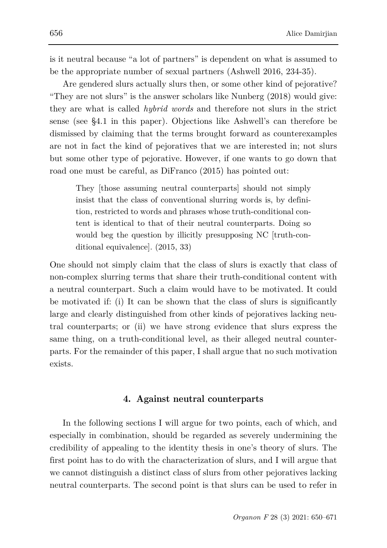is it neutral because "a lot of partners" is dependent on what is assumed to be the appropriate number of sexual partners (Ashwell 2016, 234-35).

Are gendered slurs actually slurs then, or some other kind of pejorative? "They are not slurs" is the answer scholars like Nunberg (2018) would give: they are what is called *hybrid words* and therefore not slurs in the strict sense (see §4.1 in this paper). Objections like Ashwell's can therefore be dismissed by claiming that the terms brought forward as counterexamples are not in fact the kind of pejoratives that we are interested in; not slurs but some other type of pejorative. However, if one wants to go down that road one must be careful, as DiFranco (2015) has pointed out:

They [those assuming neutral counterparts] should not simply insist that the class of conventional slurring words is, by definition, restricted to words and phrases whose truth-conditional content is identical to that of their neutral counterparts. Doing so would beg the question by illicitly presupposing NC [truth-conditional equivalence]. (2015, 33)

One should not simply claim that the class of slurs is exactly that class of non-complex slurring terms that share their truth-conditional content with a neutral counterpart. Such a claim would have to be motivated. It could be motivated if: (i) It can be shown that the class of slurs is significantly large and clearly distinguished from other kinds of pejoratives lacking neutral counterparts; or (ii) we have strong evidence that slurs express the same thing, on a truth-conditional level, as their alleged neutral counterparts. For the remainder of this paper, I shall argue that no such motivation exists.

## **4. Against neutral counterparts**

In the following sections I will argue for two points, each of which, and especially in combination, should be regarded as severely undermining the credibility of appealing to the identity thesis in one's theory of slurs. The first point has to do with the characterization of slurs, and I will argue that we cannot distinguish a distinct class of slurs from other pejoratives lacking neutral counterparts. The second point is that slurs can be used to refer in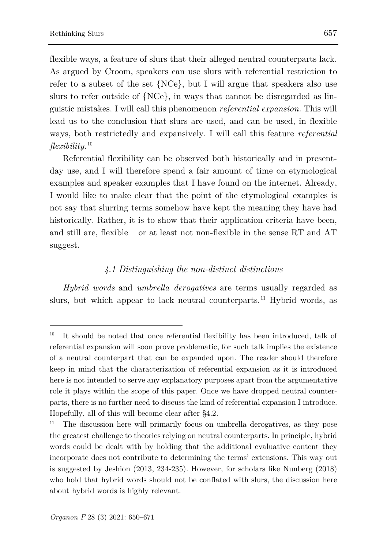ł

flexible ways, a feature of slurs that their alleged neutral counterparts lack. As argued by Croom, speakers can use slurs with referential restriction to refer to a subset of the set {NCe}, but I will argue that speakers also use slurs to refer outside of {NCe}, in ways that cannot be disregarded as linguistic mistakes. I will call this phenomenon *referential expansion.* This will lead us to the conclusion that slurs are used, and can be used, in flexible ways, both restrictedly and expansively. I will call this feature *referential flexibility.*[10](#page-7-0)

Referential flexibility can be observed both historically and in presentday use, and I will therefore spend a fair amount of time on etymological examples and speaker examples that I have found on the internet. Already, I would like to make clear that the point of the etymological examples is not say that slurring terms somehow have kept the meaning they have had historically. Rather, it is to show that their application criteria have been, and still are, flexible – or at least not non-flexible in the sense RT and AT suggest.

## *4.1 Distinguishing the non-distinct distinctions*

*Hybrid words* and *umbrella derogatives* are terms usually regarded as slurs, but which appear to lack neutral counterparts. [11](#page-7-1) Hybrid words, as

<span id="page-7-0"></span>It should be noted that once referential flexibility has been introduced, talk of referential expansion will soon prove problematic, for such talk implies the existence of a neutral counterpart that can be expanded upon. The reader should therefore keep in mind that the characterization of referential expansion as it is introduced here is not intended to serve any explanatory purposes apart from the argumentative role it plays within the scope of this paper. Once we have dropped neutral counterparts, there is no further need to discuss the kind of referential expansion I introduce. Hopefully, all of this will become clear after §4.2.

<span id="page-7-1"></span><sup>11</sup> The discussion here will primarily focus on umbrella derogatives, as they pose the greatest challenge to theories relying on neutral counterparts. In principle, hybrid words could be dealt with by holding that the additional evaluative content they incorporate does not contribute to determining the terms' extensions. This way out is suggested by Jeshion (2013, 234-235). However, for scholars like Nunberg (2018) who hold that hybrid words should not be conflated with slurs, the discussion here about hybrid words is highly relevant.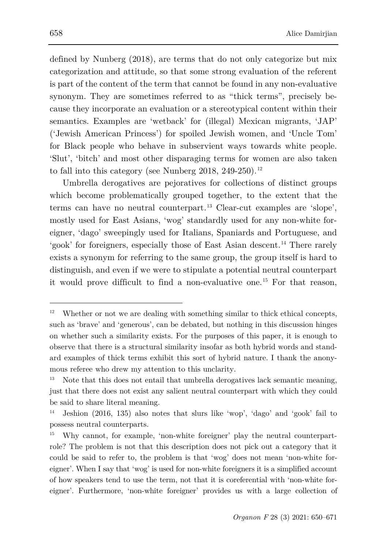defined by Nunberg (2018), are terms that do not only categorize but mix categorization and attitude, so that some strong evaluation of the referent is part of the content of the term that cannot be found in any non-evaluative synonym. They are sometimes referred to as "thick terms", precisely because they incorporate an evaluation or a stereotypical content within their semantics. Examples are 'wetback' for (illegal) Mexican migrants, 'JAP' ('Jewish American Princess') for spoiled Jewish women, and 'Uncle Tom' for Black people who behave in subservient ways towards white people. 'Slut', 'bitch' and most other disparaging terms for women are also taken to fall into this category (see Nunberg 2018, 249-250).<sup>[12](#page-8-0)</sup>

Umbrella derogatives are pejoratives for collections of distinct groups which become problematically grouped together, to the extent that the terms can have no neutral counterpart.[13](#page-8-1) Clear-cut examples are 'slope', mostly used for East Asians, 'wog' standardly used for any non-white foreigner, 'dago' sweepingly used for Italians, Spaniards and Portuguese, and 'gook' for foreigners, especially those of East Asian descent. [14](#page-8-2) There rarely exists a synonym for referring to the same group, the group itself is hard to distinguish, and even if we were to stipulate a potential neutral counterpart it would prove difficult to find a non-evaluative one.[15](#page-8-3) For that reason,

<span id="page-8-0"></span><sup>&</sup>lt;sup>12</sup> Whether or not we are dealing with something similar to thick ethical concepts, such as 'brave' and 'generous', can be debated, but nothing in this discussion hinges on whether such a similarity exists. For the purposes of this paper, it is enough to observe that there is a structural similarity insofar as both hybrid words and standard examples of thick terms exhibit this sort of hybrid nature. I thank the anonymous referee who drew my attention to this unclarity.

<span id="page-8-1"></span>Note that this does not entail that umbrella derogatives lack semantic meaning, just that there does not exist any salient neutral counterpart with which they could be said to share literal meaning.

<span id="page-8-2"></span><sup>14</sup> Jeshion (2016, 135) also notes that slurs like 'wop', 'dago' and 'gook' fail to possess neutral counterparts.

<span id="page-8-3"></span><sup>15</sup> Why cannot, for example, 'non-white foreigner' play the neutral counterpartrole? The problem is not that this description does not pick out a category that it could be said to refer to, the problem is that 'wog' does not mean 'non-white foreigner'. When I say that 'wog' is used for non-white foreigners it is a simplified account of how speakers tend to use the term, not that it is coreferential with 'non-white foreigner'. Furthermore, 'non-white foreigner' provides us with a large collection of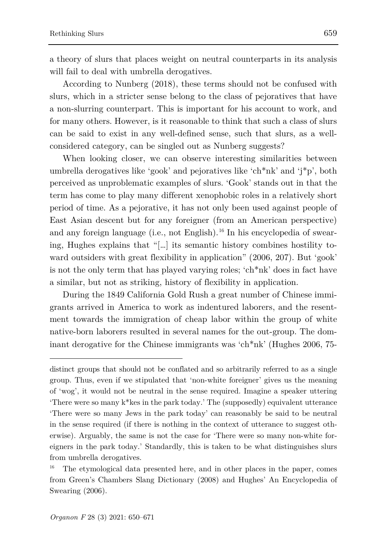a theory of slurs that places weight on neutral counterparts in its analysis will fail to deal with umbrella derogatives.

According to Nunberg (2018), these terms should not be confused with slurs, which in a stricter sense belong to the class of pejoratives that have a non-slurring counterpart. This is important for his account to work, and for many others. However, is it reasonable to think that such a class of slurs can be said to exist in any well-defined sense, such that slurs, as a wellconsidered category, can be singled out as Nunberg suggests?

When looking closer, we can observe interesting similarities between umbrella derogatives like 'gook' and pejoratives like 'ch\*nk' and 'j\*p', both perceived as unproblematic examples of slurs. 'Gook' stands out in that the term has come to play many different xenophobic roles in a relatively short period of time. As a pejorative, it has not only been used against people of East Asian descent but for any foreigner (from an American perspective) and any foreign language (i.e., not English).<sup>[16](#page-9-0)</sup> In his encyclopedia of swearing, Hughes explains that "[…] its semantic history combines hostility toward outsiders with great flexibility in application" (2006, 207). But 'gook' is not the only term that has played varying roles; 'ch\*nk' does in fact have a similar, but not as striking, history of flexibility in application.

During the 1849 California Gold Rush a great number of Chinese immigrants arrived in America to work as indentured laborers, and the resentment towards the immigration of cheap labor within the group of white native-born laborers resulted in several names for the out-group. The dominant derogative for the Chinese immigrants was 'ch\*nk' (Hughes 2006, 75-

distinct groups that should not be conflated and so arbitrarily referred to as a single group. Thus, even if we stipulated that 'non-white foreigner' gives us the meaning of 'wog', it would not be neutral in the sense required. Imagine a speaker uttering 'There were so many k\*kes in the park today.' The (supposedly) equivalent utterance 'There were so many Jews in the park today' can reasonably be said to be neutral in the sense required (if there is nothing in the context of utterance to suggest otherwise). Arguably, the same is not the case for 'There were so many non-white foreigners in the park today.' Standardly, this is taken to be what distinguishes slurs from umbrella derogatives.

<span id="page-9-0"></span><sup>16</sup> The etymological data presented here, and in other places in the paper, comes from Green's Chambers Slang Dictionary (2008) and Hughes' An Encyclopedia of Swearing (2006).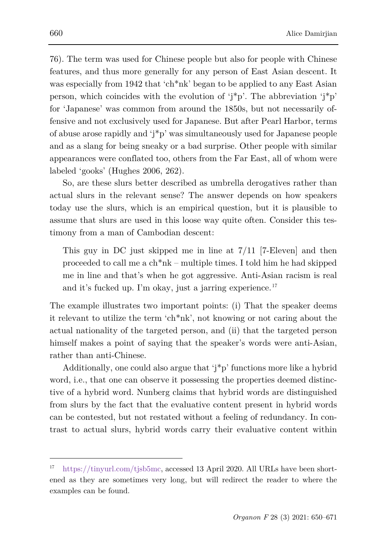76). The term was used for Chinese people but also for people with Chinese features, and thus more generally for any person of East Asian descent. It was especially from 1942 that 'ch<sup>\*</sup>nk' began to be applied to any East Asian person, which coincides with the evolution of ' $i^*p$ '. The abbreviation ' $i^*p$ ' for 'Japanese' was common from around the 1850s, but not necessarily offensive and not exclusively used for Japanese. But after Pearl Harbor, terms of abuse arose rapidly and 'j\*p' was simultaneously used for Japanese people and as a slang for being sneaky or a bad surprise. Other people with similar appearances were conflated too, others from the Far East, all of whom were labeled 'gooks' (Hughes 2006, 262).

So, are these slurs better described as umbrella derogatives rather than actual slurs in the relevant sense? The answer depends on how speakers today use the slurs, which is an empirical question, but it is plausible to assume that slurs are used in this loose way quite often. Consider this testimony from a man of Cambodian descent:

This guy in DC just skipped me in line at 7/11 [7-Eleven] and then proceeded to call me a ch\*nk – multiple times. I told him he had skipped me in line and that's when he got aggressive. Anti-Asian racism is real and it's fucked up. I'm okay, just a jarring experience.<sup>[17](#page-10-0)</sup>

The example illustrates two important points: (i) That the speaker deems it relevant to utilize the term 'ch\*nk', not knowing or not caring about the actual nationality of the targeted person, and (ii) that the targeted person himself makes a point of saying that the speaker's words were anti-Asian, rather than anti-Chinese.

Additionally, one could also argue that 'j\*p' functions more like a hybrid word, i.e., that one can observe it possessing the properties deemed distinctive of a hybrid word. Nunberg claims that hybrid words are distinguished from slurs by the fact that the evaluative content present in hybrid words can be contested, but not restated without a feeling of redundancy. In contrast to actual slurs, hybrid words carry their evaluative content within

<span id="page-10-0"></span><sup>17</sup> [https://tinyurl.com/tjsb5mc,](https://tinyurl.com/tjsb5mc) accessed 13 April 2020. All URLs have been shortened as they are sometimes very long, but will redirect the reader to where the examples can be found.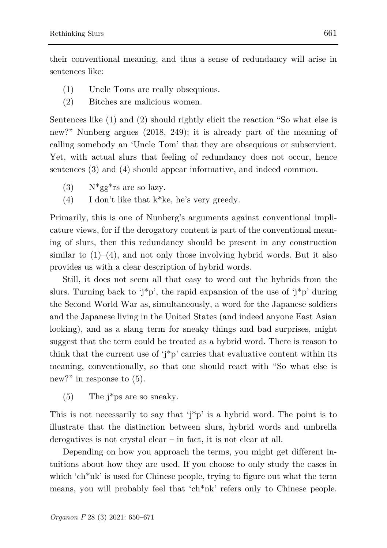their conventional meaning, and thus a sense of redundancy will arise in sentences like:

- (1) Uncle Toms are really obsequious.
- (2) Bitches are malicious women.

Sentences like (1) and (2) should rightly elicit the reaction "So what else is new?" Nunberg argues (2018, 249); it is already part of the meaning of calling somebody an 'Uncle Tom' that they are obsequious or subservient. Yet, with actual slurs that feeling of redundancy does not occur, hence sentences (3) and (4) should appear informative, and indeed common.

- (3)  $N*gg*rs$  are so lazy.
- (4) I don't like that k\*ke, he's very greedy.

Primarily, this is one of Nunberg's arguments against conventional implicature views, for if the derogatory content is part of the conventional meaning of slurs, then this redundancy should be present in any construction similar to  $(1)$ – $(4)$ , and not only those involving hybrid words. But it also provides us with a clear description of hybrid words.

Still, it does not seem all that easy to weed out the hybrids from the slurs. Turning back to ' $i^*p$ ', the rapid expansion of the use of ' $i^*p$ ' during the Second World War as, simultaneously, a word for the Japanese soldiers and the Japanese living in the United States (and indeed anyone East Asian looking), and as a slang term for sneaky things and bad surprises, might suggest that the term could be treated as a hybrid word. There is reason to think that the current use of 'j\*p' carries that evaluative content within its meaning, conventionally, so that one should react with "So what else is new?" in response to  $(5)$ .

(5) The j\*ps are so sneaky.

This is not necessarily to say that  $i^*p$  is a hybrid word. The point is to illustrate that the distinction between slurs, hybrid words and umbrella derogatives is not crystal clear – in fact, it is not clear at all.

Depending on how you approach the terms, you might get different intuitions about how they are used. If you choose to only study the cases in which 'ch<sup>\*</sup>nk' is used for Chinese people, trying to figure out what the term means, you will probably feel that 'ch\*nk' refers only to Chinese people.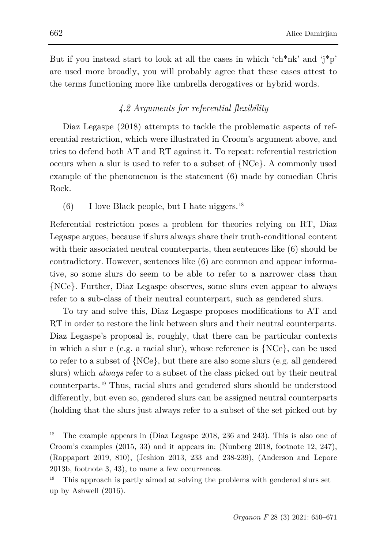But if you instead start to look at all the cases in which 'ch\*nk' and 'j\*p' are used more broadly, you will probably agree that these cases attest to the terms functioning more like umbrella derogatives or hybrid words.

## *4.2 Arguments for referential flexibility*

Diaz Legaspe (2018) attempts to tackle the problematic aspects of referential restriction, which were illustrated in Croom's argument above, and tries to defend both AT and RT against it. To repeat: referential restriction occurs when a slur is used to refer to a subset of {NCe}. A commonly used example of the phenomenon is the statement (6) made by comedian Chris Rock.

(6) I love Black people, but I hate niggers.<sup>[18](#page-12-0)</sup>

Referential restriction poses a problem for theories relying on RT, Diaz Legaspe argues, because if slurs always share their truth-conditional content with their associated neutral counterparts, then sentences like (6) should be contradictory. However, sentences like (6) are common and appear informative, so some slurs do seem to be able to refer to a narrower class than {NCe}. Further, Diaz Legaspe observes, some slurs even appear to always refer to a sub-class of their neutral counterpart, such as gendered slurs.

To try and solve this, Diaz Legaspe proposes modifications to AT and RT in order to restore the link between slurs and their neutral counterparts. Diaz Legaspe's proposal is, roughly, that there can be particular contexts in which a slur e (e.g. a racial slur), whose reference is {NCe}, can be used to refer to a subset of {NCe}, but there are also some slurs (e.g. all gendered slurs) which *always* refer to a subset of the class picked out by their neutral counterparts. [19](#page-12-1) Thus, racial slurs and gendered slurs should be understood differently, but even so, gendered slurs can be assigned neutral counterparts (holding that the slurs just always refer to a subset of the set picked out by

<span id="page-12-0"></span><sup>18</sup> The example appears in (Diaz Legaspe 2018, 236 and 243). This is also one of Croom's examples (2015, 33) and it appears in: (Nunberg 2018, footnote 12, 247), (Rappaport 2019, 810), (Jeshion 2013, 233 and 238-239), (Anderson and Lepore 2013b, footnote 3, 43), to name a few occurrences.

<span id="page-12-1"></span><sup>19</sup> This approach is partly aimed at solving the problems with gendered slurs set up by Ashwell (2016).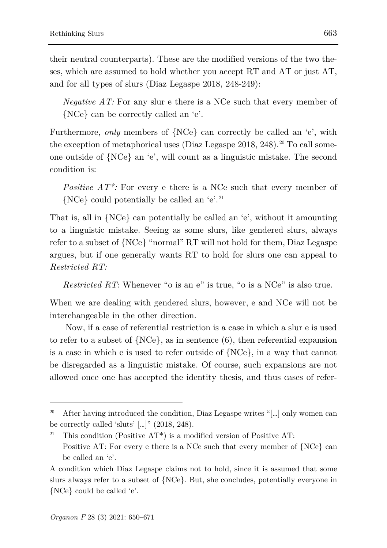their neutral counterparts). These are the modified versions of the two theses, which are assumed to hold whether you accept RT and AT or just AT, and for all types of slurs (Diaz Legaspe 2018, 248-249):

*Negative AT:* For any slur e there is a NCe such that every member of {NCe} can be correctly called an 'e'.

Furthermore, *only* members of {NCe} can correctly be called an 'e', with the exception of metaphorical uses (Diaz Legaspe  $2018$  $2018$ ,  $248$ ).<sup>20</sup> To call someone outside of {NCe} an 'e', will count as a linguistic mistake. The second condition is:

*Positive AT\*:* For every e there is a NCe such that every member of {NCe} could potentially be called an 'e'. [21](#page-13-1)

That is, all in {NCe} can potentially be called an 'e', without it amounting to a linguistic mistake. Seeing as some slurs, like gendered slurs, always refer to a subset of {NCe} "normal" RT will not hold for them, Diaz Legaspe argues, but if one generally wants RT to hold for slurs one can appeal to *Restricted RT:*

*Restricted RT*: Whenever "o is an e" is true, "o is a NCe" is also true.

When we are dealing with gendered slurs, however, e and NCe will not be interchangeable in the other direction.

Now, if a case of referential restriction is a case in which a slur e is used to refer to a subset of  $\{NCe\}$ , as in sentence (6), then referential expansion is a case in which e is used to refer outside of {NCe}, in a way that cannot be disregarded as a linguistic mistake. Of course, such expansions are not allowed once one has accepted the identity thesis, and thus cases of refer-

<span id="page-13-0"></span><sup>&</sup>lt;sup>20</sup> After having introduced the condition, Diaz Legaspe writes "[...] only women can be correctly called 'sluts' […]" (2018, 248).

<span id="page-13-1"></span>This condition (Positive  $AT^*$ ) is a modified version of Positive AT: Positive AT: For every e there is a NCe such that every member of {NCe} can be called an 'e'.

A condition which Diaz Legaspe claims not to hold, since it is assumed that some slurs always refer to a subset of {NCe}. But, she concludes, potentially everyone in {NCe} could be called 'e'.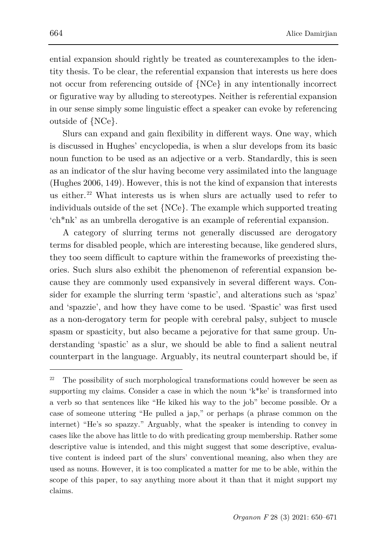ential expansion should rightly be treated as counterexamples to the identity thesis. To be clear, the referential expansion that interests us here does not occur from referencing outside of {NCe} in any intentionally incorrect or figurative way by alluding to stereotypes. Neither is referential expansion in our sense simply some linguistic effect a speaker can evoke by referencing outside of {NCe}.

Slurs can expand and gain flexibility in different ways. One way, which is discussed in Hughes' encyclopedia, is when a slur develops from its basic noun function to be used as an adjective or a verb. Standardly, this is seen as an indicator of the slur having become very assimilated into the language (Hughes 2006, 149). However, this is not the kind of expansion that interests us either.<sup>[22](#page-14-0)</sup> What interests us is when slurs are actually used to refer to individuals outside of the set {NCe}. The example which supported treating 'ch\*nk' as an umbrella derogative is an example of referential expansion.

A category of slurring terms not generally discussed are derogatory terms for disabled people, which are interesting because, like gendered slurs, they too seem difficult to capture within the frameworks of preexisting theories. Such slurs also exhibit the phenomenon of referential expansion because they are commonly used expansively in several different ways. Consider for example the slurring term 'spastic', and alterations such as 'spaz' and 'spazzie', and how they have come to be used. 'Spastic' was first used as a non-derogatory term for people with cerebral palsy, subject to muscle spasm or spasticity, but also became a pejorative for that same group. Understanding 'spastic' as a slur, we should be able to find a salient neutral counterpart in the language. Arguably, its neutral counterpart should be, if

<span id="page-14-0"></span><sup>&</sup>lt;sup>22</sup> The possibility of such morphological transformations could however be seen as supporting my claims. Consider a case in which the noun 'k\*ke' is transformed into a verb so that sentences like "He kiked his way to the job" become possible. Or a case of someone uttering "He pulled a jap," or perhaps (a phrase common on the internet) "He's so spazzy." Arguably, what the speaker is intending to convey in cases like the above has little to do with predicating group membership. Rather some descriptive value is intended, and this might suggest that some descriptive, evaluative content is indeed part of the slurs' conventional meaning, also when they are used as nouns. However, it is too complicated a matter for me to be able, within the scope of this paper, to say anything more about it than that it might support my claims.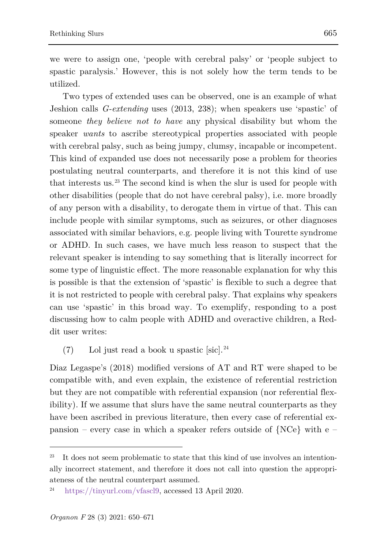we were to assign one, 'people with cerebral palsy' or 'people subject to spastic paralysis.' However, this is not solely how the term tends to be utilized.

Two types of extended uses can be observed, one is an example of what Jeshion calls *G-extending* uses (2013, 238); when speakers use 'spastic' of someone *they believe not to have* any physical disability but whom the speaker *wants* to ascribe stereotypical properties associated with people with cerebral palsy, such as being jumpy, clumsy, incapable or incompetent. This kind of expanded use does not necessarily pose a problem for theories postulating neutral counterparts, and therefore it is not this kind of use that interests us.[23](#page-15-0) The second kind is when the slur is used for people with other disabilities (people that do not have cerebral palsy), i.e. more broadly of any person with a disability, to derogate them in virtue of that. This can include people with similar symptoms, such as seizures, or other diagnoses associated with similar behaviors, e.g. people living with Tourette syndrome or ADHD. In such cases, we have much less reason to suspect that the relevant speaker is intending to say something that is literally incorrect for some type of linguistic effect. The more reasonable explanation for why this is possible is that the extension of 'spastic' is flexible to such a degree that it is not restricted to people with cerebral palsy. That explains why speakers can use 'spastic' in this broad way. To exemplify, responding to a post discussing how to calm people with ADHD and overactive children, a Reddit user writes:

 $(7)$  Lol just read a book u spastic [sic].<sup>[24](#page-15-1)</sup>

Diaz Legaspe's (2018) modified versions of AT and RT were shaped to be compatible with, and even explain, the existence of referential restriction but they are not compatible with referential expansion (nor referential flexibility). If we assume that slurs have the same neutral counterparts as they have been ascribed in previous literature, then every case of referential expansion – every case in which a speaker refers outside of {NCe} with e –

<span id="page-15-0"></span>It does not seem problematic to state that this kind of use involves an intentionally incorrect statement, and therefore it does not call into question the appropriateness of the neutral counterpart assumed.

<span id="page-15-1"></span><sup>24</sup> [https://tinyurl.com/vfascl9,](https://tinyurl.com/vfascl9) accessed 13 April 2020.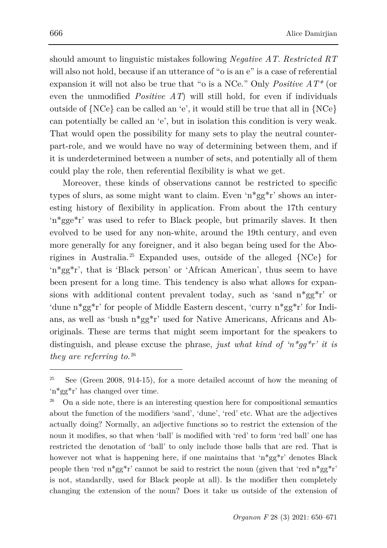should amount to linguistic mistakes following *Negative AT*. *Restricted RT* will also not hold, because if an utterance of "o is an e" is a case of referential expansion it will not also be true that "o is a NCe." Only *Positive AT\** (or even the unmodified *Positive AT*) will still hold, for even if individuals outside of {NCe} can be called an 'e', it would still be true that all in {NCe} can potentially be called an 'e', but in isolation this condition is very weak. That would open the possibility for many sets to play the neutral counterpart-role, and we would have no way of determining between them, and if it is underdetermined between a number of sets, and potentially all of them could play the role, then referential flexibility is what we get.

Moreover, these kinds of observations cannot be restricted to specific types of slurs, as some might want to claim. Even 'n\*gg\*r' shows an interesting history of flexibility in application. From about the 17th century 'n\*gge\*r' was used to refer to Black people, but primarily slaves. It then evolved to be used for any non-white, around the 19th century, and even more generally for any foreigner, and it also began being used for the Aborigines in Australia.[25](#page-16-0) Expanded uses, outside of the alleged {NCe} for 'n\*gg\*r', that is 'Black person' or 'African American', thus seem to have been present for a long time. This tendency is also what allows for expansions with additional content prevalent today, such as 'sand n\*gg\*r' or 'dune n\*gg\*r' for people of Middle Eastern descent, 'curry n\*gg\*r' for Indians, as well as 'bush n\*gg\*r' used for Native Americans, Africans and Aboriginals. These are terms that might seem important for the speakers to distinguish, and please excuse the phrase, *just what kind of 'n\*gg\*r' it is they are referring to*. [26](#page-16-1)

l

<span id="page-16-0"></span><sup>&</sup>lt;sup>25</sup> See (Green 2008, 914-15), for a more detailed account of how the meaning of 'n\*gg\*r' has changed over time.

<span id="page-16-1"></span><sup>26</sup> On a side note, there is an interesting question here for compositional semantics about the function of the modifiers 'sand', 'dune', 'red' etc. What are the adjectives actually doing? Normally, an adjective functions so to restrict the extension of the noun it modifies, so that when 'ball' is modified with 'red' to form 'red ball' one has restricted the denotation of 'ball' to only include those balls that are red. That is however not what is happening here, if one maintains that 'n\*gg\*r' denotes Black people then 'red  $n^*gg^*r'$ ' cannot be said to restrict the noun (given that 'red  $n^*gg^*r'$ ' is not, standardly, used for Black people at all). Is the modifier then completely changing the extension of the noun? Does it take us outside of the extension of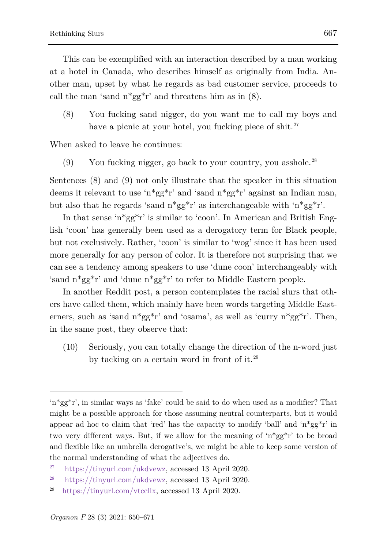This can be exemplified with an interaction described by a man working at a hotel in Canada, who describes himself as originally from India. Another man, upset by what he regards as bad customer service, proceeds to call the man 'sand  $n*gg*r'$  and threatens him as in (8).

(8) You fucking sand nigger, do you want me to call my boys and have a picnic at your hotel, you fucking piece of shit.<sup>[27](#page-17-0)</sup>

When asked to leave he continues:

 $(9)$  You fucking nigger, go back to your country, you asshole.<sup>[28](#page-17-1)</sup>

Sentences (8) and (9) not only illustrate that the speaker in this situation deems it relevant to use 'n\*gg\*r' and 'sand n\*gg\*r' against an Indian man, but also that he regards 'sand  $n*gg*r'$ ' as interchangeable with ' $n*gg*r'$ .

In that sense 'n\*gg\*r' is similar to 'coon'. In American and British English 'coon' has generally been used as a derogatory term for Black people, but not exclusively. Rather, 'coon' is similar to 'wog' since it has been used more generally for any person of color. It is therefore not surprising that we can see a tendency among speakers to use 'dune coon' interchangeably with 'sand n\*gg\*r' and 'dune n\*gg\*r' to refer to Middle Eastern people.

In another Reddit post, a person contemplates the racial slurs that others have called them, which mainly have been words targeting Middle Easterners, such as 'sand  $n*gg*r'$  and 'osama', as well as 'curry  $n*gg*r'$ . Then, in the same post, they observe that:

(10) Seriously, you can totally change the direction of the n-word just by tacking on a certain word in front of it.[29](#page-17-2)

l

<sup>&#</sup>x27;n\*gg\*r', in similar ways as 'fake' could be said to do when used as a modifier? That might be a possible approach for those assuming neutral counterparts, but it would appear ad hoc to claim that 'red' has the capacity to modify 'ball' and ' $n*gg*r$ ' in two very different ways. But, if we allow for the meaning of 'n\*gg\*r' to be broad and flexible like an umbrella derogative's, we might be able to keep some version of the normal understanding of what the adjectives do.

<span id="page-17-0"></span><sup>27</sup> [https://tinyurl.com/ukdvewz,](https://tinyurl.com/ukdvewz) accessed 13 April 2020.

<span id="page-17-1"></span><sup>28</sup> [https://tinyurl.com/ukdvewz,](https://tinyurl.com/ukdvewz) accessed 13 April 2020.

<span id="page-17-2"></span><sup>29</sup> [https://tinyurl.com/vtccllx,](https://tinyurl.com/vtccllx) accessed 13 April 2020.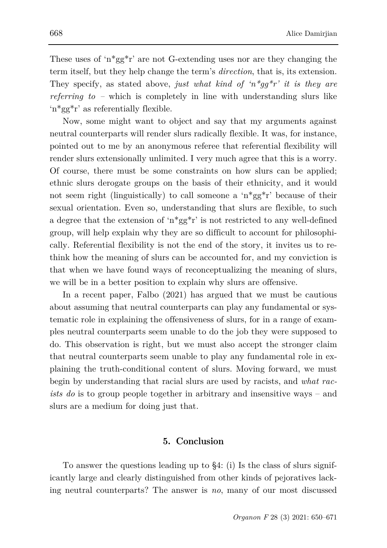These uses of 'n\*gg\*r' are not G-extending uses nor are they changing the term itself, but they help change the term's *direction*, that is, its extension. They specify, as stated above, *just what kind of 'n\*gg\*r' it is they are referring to –* which is completely in line with understanding slurs like 'n\*gg\*r' as referentially flexible.

Now, some might want to object and say that my arguments against neutral counterparts will render slurs radically flexible. It was, for instance, pointed out to me by an anonymous referee that referential flexibility will render slurs extensionally unlimited. I very much agree that this is a worry. Of course, there must be some constraints on how slurs can be applied; ethnic slurs derogate groups on the basis of their ethnicity, and it would not seem right (linguistically) to call someone a 'n\*gg\*r' because of their sexual orientation. Even so, understanding that slurs are flexible, to such a degree that the extension of 'n<sup>\*gg\*</sup>r' is not restricted to any well-defined group, will help explain why they are so difficult to account for philosophically. Referential flexibility is not the end of the story, it invites us to rethink how the meaning of slurs can be accounted for, and my conviction is that when we have found ways of reconceptualizing the meaning of slurs, we will be in a better position to explain why slurs are offensive.

In a recent paper, Falbo (2021) has argued that we must be cautious about assuming that neutral counterparts can play any fundamental or systematic role in explaining the offensiveness of slurs, for in a range of examples neutral counterparts seem unable to do the job they were supposed to do. This observation is right, but we must also accept the stronger claim that neutral counterparts seem unable to play any fundamental role in explaining the truth-conditional content of slurs. Moving forward, we must begin by understanding that racial slurs are used by racists, and *what racists do* is to group people together in arbitrary and insensitive ways – and slurs are a medium for doing just that.

## **5. Conclusion**

To answer the questions leading up to §4: (i) Is the class of slurs significantly large and clearly distinguished from other kinds of pejoratives lacking neutral counterparts? The answer is *no*, many of our most discussed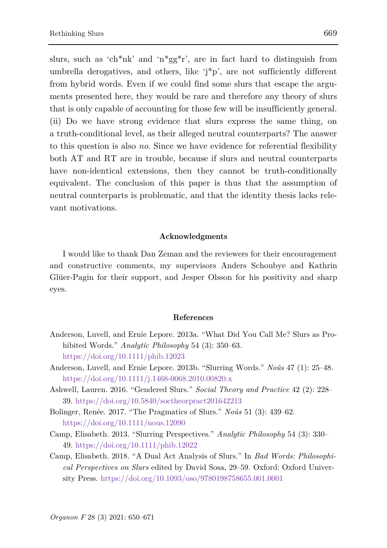slurs, such as 'ch\*nk' and 'n\*gg\*r', are in fact hard to distinguish from umbrella derogatives, and others, like 'j\*p', are not sufficiently different from hybrid words. Even if we could find some slurs that escape the arguments presented here, they would be rare and therefore any theory of slurs that is only capable of accounting for those few will be insufficiently general. (ii) Do we have strong evidence that slurs express the same thing, on a truth-conditional level, as their alleged neutral counterparts? The answer to this question is also *no*. Since we have evidence for referential flexibility both AT and RT are in trouble, because if slurs and neutral counterparts have non-identical extensions, then they cannot be truth-conditionally equivalent. The conclusion of this paper is thus that the assumption of neutral counterparts is problematic, and that the identity thesis lacks relevant motivations.

#### **Acknowledgments**

I would like to thank Dan Zeman and the reviewers for their encouragement and constructive comments, my supervisors Anders Schoubye and Kathrin Glüer-Pagin for their support, and Jesper Olsson for his positivity and sharp eyes.

#### **References**

- Anderson, Luvell, and Ernie Lepore. 2013a. "What Did You Call Me? Slurs as Prohibited Words." *Analytic Philosophy* 54 (3): 350–63. <https://doi.org/10.1111/phib.12023>
- Anderson, Luvell, and Ernie Lepore. 2013b. "Slurring Words." *Noûs* 47 (1): 25–48. <https://doi.org/10.1111/j.1468-0068.2010.00820.x>
- Ashwell, Lauren. 2016. "Gendered Slurs." *Social Theory and Practice* 42 (2): 228– 39. <https://doi.org/10.5840/soctheorpract201642213>
- Bolinger, Renée. 2017. "The Pragmatics of Slurs." *Noûs* 51 (3): 439–62. <https://doi.org/10.1111/nous.12090>
- Camp, Elisabeth. 2013. "Slurring Perspectives." *Analytic Philosophy* 54 (3): 330– 49[. https://doi.org/10.1111/phib.12022](https://doi.org/10.1111/phib.12022)
- Camp, Elisabeth. 2018. "A Dual Act Analysis of Slurs." In *Bad Words: Philosophical Perspectives on Slurs* edited by David Sosa, 29–59. Oxford: Oxford University Press.<https://doi.org/10.1093/oso/9780198758655.001.0001>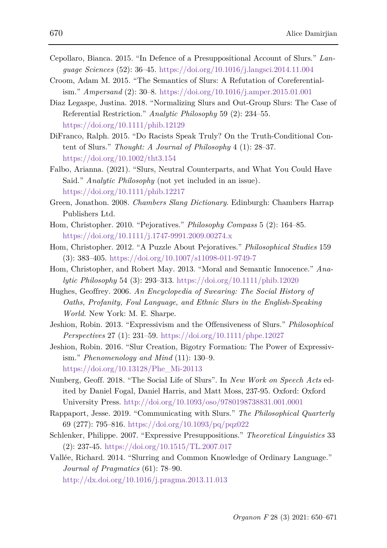- Cepollaro, Bianca. 2015. "In Defence of a Presuppositional Account of Slurs." *Language Sciences* (52): 36–45.<https://doi.org/10.1016/j.langsci.2014.11.004>
- Croom, Adam M. 2015. "The Semantics of Slurs: A Refutation of Coreferentialism." *Ampersand* (2): 30–8.<https://doi.org/10.1016/j.amper.2015.01.001>
- Diaz Legaspe, Justina. 2018. "Normalizing Slurs and Out-Group Slurs: The Case of Referential Restriction." *Analytic Philosophy* 59 (2): 234–55. <https://doi.org/10.1111/phib.12129>
- DiFranco, Ralph. 2015. "Do Racists Speak Truly? On the Truth-Conditional Content of Slurs." *Thought: A Journal of Philosophy* 4 (1): 28–37. <https://doi.org/10.1002/tht3.154>
- Falbo, Arianna. (2021). "Slurs, Neutral Counterparts, and What You Could Have Said." *Analytic Philosophy* (not yet included in an issue)*.*  <https://doi.org/10.1111/phib.12217>
- Green, Jonathon. 2008. *Chambers Slang Dictionary*. Edinburgh: Chambers Harrap Publishers Ltd.
- Hom, Christopher. 2010. "Pejoratives." *Philosophy Compass* 5 (2): 164–85. <https://doi.org/10.1111/j.1747-9991.2009.00274.x>
- Hom, Christopher. 2012. "A Puzzle About Pejoratives." *Philosophical Studies* 159 (3): 383–405.<https://doi.org/10.1007/s11098-011-9749-7>
- Hom, Christopher, and Robert May. 2013. "Moral and Semantic Innocence." *Analytic Philosophy* 54 (3): 293–313.<https://doi.org/10.1111/phib.12020>
- Hughes, Geoffrey. 2006. *An Encyclopedia of Swearing: The Social History of Oaths, Profanity, Foul Language, and Ethnic Slurs in the English-Speaking World.* New York: M. E. Sharpe.
- Jeshion, Robin. 2013. "Expressivism and the Offensiveness of Slurs." *Philosophical Perspectives* 27 (1): 231–59.<https://doi.org/10.1111/phpe.12027>
- Jeshion, Robin. 2016. "Slur Creation, Bigotry Formation: The Power of Expressivism." *Phenomenology and Mind* (11): 130–9. [https://doi.org/10.13128/Phe\\_Mi-20113](https://doi.org/10.13128/Phe_Mi-20113)
- Nunberg, Geoff. 2018. "The Social Life of Slurs". In *New Work on Speech Acts* edited by Daniel Fogal, Daniel Harris, and Matt Moss, 237-95. Oxford: Oxford University Press. <http://doi.org/10.1093/oso/9780198738831.001.0001>
- Rappaport, Jesse. 2019. "Communicating with Slurs." *The Philosophical Quarterly*  69 (277): 795–816.<https://doi.org/10.1093/pq/pqz022>
- Schlenker, Philippe. 2007. "Expressive Presuppositions." *Theoretical Linguistics* 33 (2): 237-45.<https://doi.org/10.1515/TL.2007.017>
- Vallée, Richard. 2014. "Slurring and Common Knowledge of Ordinary Language." *Journal of Pragmatics* (61): 78–90. <http://dx.doi.org/10.1016/j.pragma.2013.11.013>